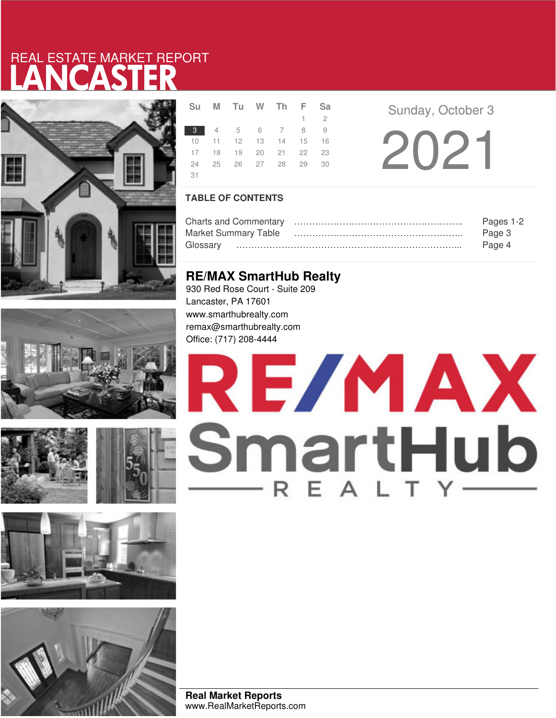# LANCASTER REAL ESTATE MARKET REPORT













**Su <sup>M</sup> Tu <sup>W</sup> Th <sup>F</sup> Sa** Sunday, October 3 2  $\begin{array}{ccccccccc}\n 3 & 4 & 5 & 6 & 7 & 8 & 9 \\
10 & 11 & 12 & 13 & 14 & 15 & 16 \\
17 & 18 & 19 & 20 & 21 & 22 & 23 \\
24 & 25 & 26 & 27 & 28 & 29 & 30\n\end{array}$ 22 12 19 24 25 26 27 28 29 30 31

## **TABLE OF CONTENTS**

|                             | Pages 1-2 |
|-----------------------------|-----------|
| <b>Market Summary Table</b> | Page 3    |
|                             | Page 4    |

## **RE/MAX SmartHub Realty**

930 Red Rose Court - Suite 209 Lancaster, PA 17601 www.smarthubrealty.com remax@smarthubrealty.com Office: (717) 208-4444

# RE/MAX SmartHub

**Real Market Reports** www.RealMarketReports.com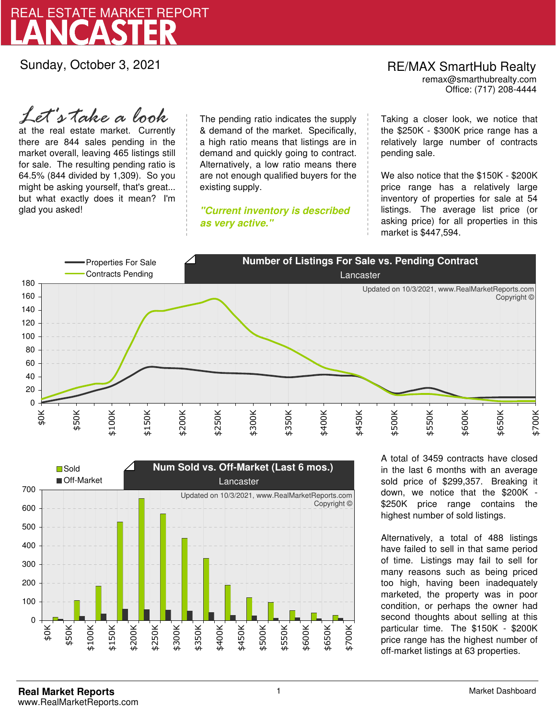

Sunday, October 3, 2021

#### Office: (717) 208-4444 RE/MAX SmartHub Realty remax@smarthubrealty.com

at the real estate market. Currently there are 844 sales pending in the market overall, leaving 465 listings still for sale. The resulting pending ratio is 64.5% (844 divided by 1,309). So you might be asking yourself, that's great... but what exactly does it mean? I'm glad you asked! *Let's take a look*

The pending ratio indicates the supply & demand of the market. Specifically, a high ratio means that listings are in demand and quickly going to contract. Alternatively, a low ratio means there are not enough qualified buyers for the existing supply.

**"Current inventory is described as very active."**

Taking a closer look, we notice that the \$250K - \$300K price range has a relatively large number of contracts pending sale.

We also notice that the \$150K - \$200K price range has a relatively large inventory of properties for sale at 54 listings. The average list price (or asking price) for all properties in this market is \$447,594.





A total of 3459 contracts have closed in the last 6 months with an average sold price of \$299,357. Breaking it down, we notice that the \$200K - \$250K price range contains the highest number of sold listings.

Alternatively, a total of 488 listings have failed to sell in that same period of time. Listings may fail to sell for many reasons such as being priced too high, having been inadequately marketed, the property was in poor condition, or perhaps the owner had second thoughts about selling at this particular time. The \$150K - \$200K price range has the highest number of off-market listings at 63 properties.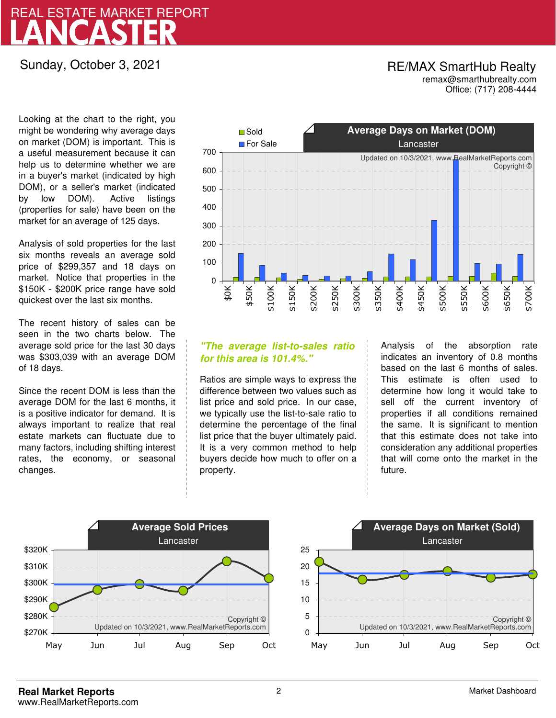# LANCASTER REAL ESTATE MARKET REPORT

## Sunday, October 3, 2021

## Office: (717) 208-4444 RE/MAX SmartHub Realty remax@smarthubrealty.com

Looking at the chart to the right, you might be wondering why average days on market (DOM) is important. This is a useful measurement because it can help us to determine whether we are in a buyer's market (indicated by high DOM), or a seller's market (indicated by low DOM). Active listings (properties for sale) have been on the market for an average of 125 days.

Analysis of sold properties for the last six months reveals an average sold price of \$299,357 and 18 days on market. Notice that properties in the \$150K - \$200K price range have sold quickest over the last six months.

The recent history of sales can be seen in the two charts below. The average sold price for the last 30 days was \$303,039 with an average DOM of 18 days.

Since the recent DOM is less than the average DOM for the last 6 months, it is a positive indicator for demand. It is always important to realize that real estate markets can fluctuate due to many factors, including shifting interest rates, the economy, or seasonal changes.



## **"The average list-to-sales ratio for this area is 101.4%."**

Ratios are simple ways to express the difference between two values such as list price and sold price. In our case, we typically use the list-to-sale ratio to determine the percentage of the final list price that the buyer ultimately paid. It is a very common method to help buyers decide how much to offer on a property.

Analysis of the absorption rate indicates an inventory of 0.8 months based on the last 6 months of sales. This estimate is often used to determine how long it would take to sell off the current inventory of properties if all conditions remained the same. It is significant to mention that this estimate does not take into consideration any additional properties that will come onto the market in the future.



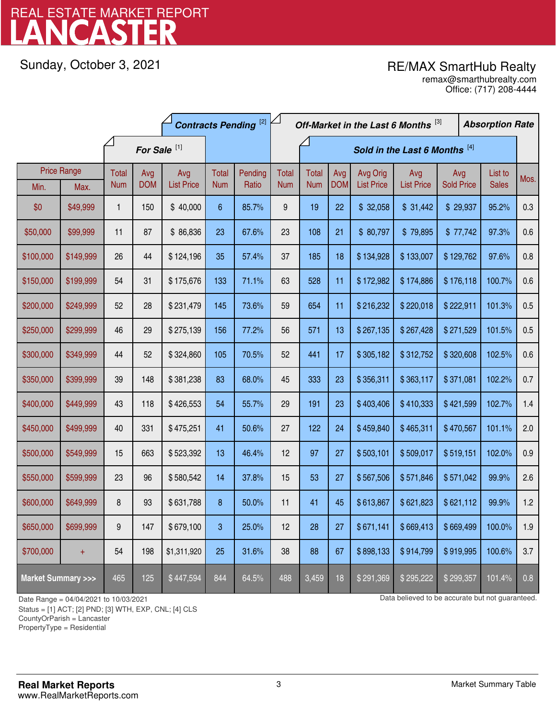# LANCASTER REAL ESTATE MARKET REPORT

Sunday, October 3, 2021

## RE/MAX SmartHub Realty

Office: (717) 208-4444 remax@smarthubrealty.com

|                                    |                    | <b>Contracts Pending [2]</b> |            |                   |                               |         |              | Off-Market in the Last 6 Months [3] |            |                   |                   |                   | <b>Absorption Rate</b> |              |      |
|------------------------------------|--------------------|------------------------------|------------|-------------------|-------------------------------|---------|--------------|-------------------------------------|------------|-------------------|-------------------|-------------------|------------------------|--------------|------|
| For Sale <sup>[1]</sup>            |                    |                              |            |                   | Sold in the Last 6 Months [4] |         |              |                                     |            |                   |                   |                   |                        |              |      |
|                                    | <b>Price Range</b> | Total                        | Avg        | Avg               | Total                         | Pending | <b>Total</b> | <b>Total</b>                        | Avg        | Avg Orig          | Avg               | Avg               |                        | List to      | Mos. |
| Min.                               | Max.               | <b>Num</b>                   | <b>DOM</b> | <b>List Price</b> | <b>Num</b>                    | Ratio   | <b>Num</b>   | <b>Num</b>                          | <b>DOM</b> | <b>List Price</b> | <b>List Price</b> | <b>Sold Price</b> |                        | <b>Sales</b> |      |
| \$0                                | \$49,999           | 1                            | 150        | \$40,000          | $6\phantom{1}$                | 85.7%   | 9            | 19                                  | 22         | \$32,058          | \$31,442          | \$29,937          |                        | 95.2%        | 0.3  |
| \$50,000                           | \$99,999           | 11                           | 87         | \$86,836          | 23                            | 67.6%   | 23           | 108                                 | 21         | \$80,797          | \$79,895          | \$77,742          |                        | 97.3%        | 0.6  |
| \$100,000                          | \$149,999          | 26                           | 44         | \$124,196         | 35                            | 57.4%   | 37           | 185                                 | 18         | \$134,928         | \$133,007         | \$129,762         |                        | 97.6%        | 0.8  |
| \$150,000                          | \$199,999          | 54                           | 31         | \$175,676         | 133                           | 71.1%   | 63           | 528                                 | 11         | \$172,982         | \$174,886         | \$176,118         |                        | 100.7%       | 0.6  |
| \$200,000                          | \$249,999          | 52                           | 28         | \$231,479         | 145                           | 73.6%   | 59           | 654                                 | 11         | \$216,232         | \$220,018         | \$222,911         |                        | 101.3%       | 0.5  |
| \$250,000                          | \$299,999          | 46                           | 29         | \$275,139         | 156                           | 77.2%   | 56           | 571                                 | 13         | \$267,135         | \$267,428         | \$271,529         |                        | 101.5%       | 0.5  |
| \$300,000                          | \$349,999          | 44                           | 52         | \$324,860         | 105                           | 70.5%   | 52           | 441                                 | 17         | \$305,182         | \$312,752         | \$320,608         |                        | 102.5%       | 0.6  |
| \$350,000                          | \$399,999          | 39                           | 148        | \$381,238         | 83                            | 68.0%   | 45           | 333                                 | 23         | \$356,311         | \$363,117         | \$371,081         |                        | 102.2%       | 0.7  |
| \$400,000                          | \$449,999          | 43                           | 118        | \$426,553         | 54                            | 55.7%   | 29           | 191                                 | 23         | \$403,406         | \$410,333         | \$421,599         |                        | 102.7%       | 1.4  |
| \$450,000                          | \$499,999          | 40                           | 331        | \$475,251         | 41                            | 50.6%   | 27           | 122                                 | 24         | \$459,840         | \$465,311         | \$470,567         |                        | 101.1%       | 2.0  |
| \$500,000                          | \$549,999          | 15                           | 663        | \$523,392         | 13                            | 46.4%   | 12           | 97                                  | 27         | \$503,101         | \$509,017         | \$519,151         |                        | 102.0%       | 0.9  |
| \$550,000                          | \$599,999          | 23                           | 96         | \$580,542         | 14                            | 37.8%   | 15           | 53                                  | 27         | \$567,506         | \$571,846         | \$571,042         |                        | 99.9%        | 2.6  |
| \$600,000                          | \$649,999          | 8                            | 93         | \$631,788         | 8                             | 50.0%   | 11           | 41                                  | 45         | \$613,867         | \$621,823         | \$621,112         |                        | 99.9%        | 1.2  |
| \$650,000                          | \$699,999          | 9                            | 147        | \$679,100         | 3                             | 25.0%   | 12           | 28                                  | 27         | \$671,141         | \$669,413         | \$669,499         |                        | 100.0%       | 1.9  |
| \$700,000                          | $+$                | 54                           | 198        | \$1,311,920       | 25                            | 31.6%   | 38           | 88                                  | 67         | \$898,133         | \$914,799         | \$919,995         |                        | 100.6%       | 3.7  |
| <b>Market Summary &gt;&gt;&gt;</b> |                    | 465                          | 125        | \$447,594         | 844                           | 64.5%   | 488          | 3,459                               | 18         | \$291,369         | \$295,222         | \$299,357         |                        | 101.4%       | 0.8  |

Status = [1] ACT; [2] PND; [3] WTH, EXP, CNL; [4] CLS

CountyOrParish = Lancaster

PropertyType = Residential

-

Date Range = 04/04/2021 to 10/03/2021 Data believed to be accurate but not guaranteed.